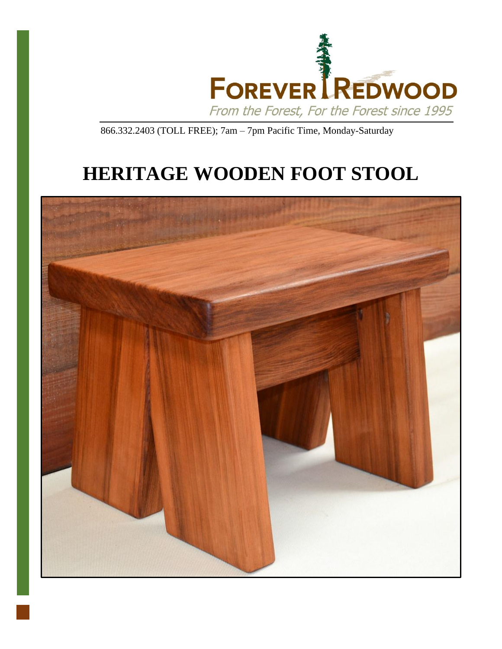

866.332.2403 (TOLL FREE); 7am – 7pm Pacific Time, Monday-Saturday

# **HERITAGE WOODEN FOOT STOOL**

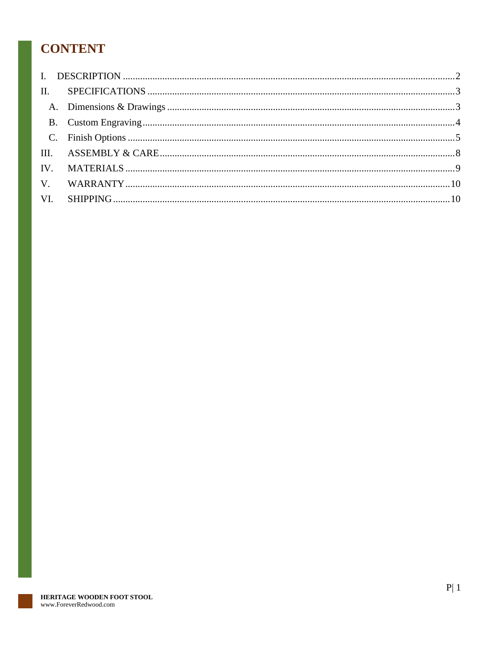# **CONTENT**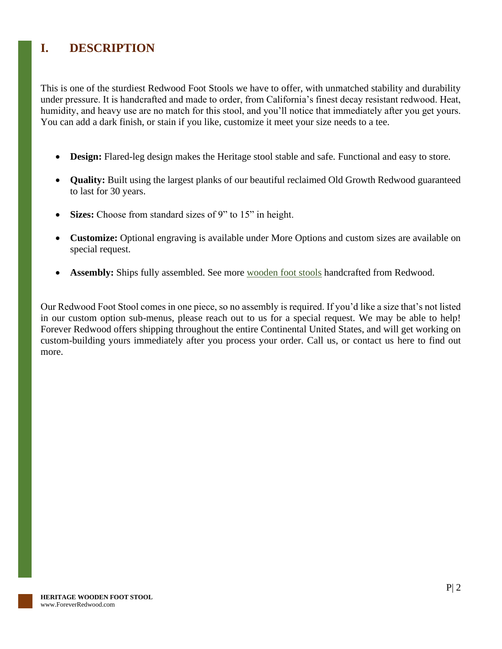# <span id="page-2-0"></span>**I. DESCRIPTION**

This is one of the sturdiest Redwood Foot Stools we have to offer, with unmatched stability and durability under pressure. It is handcrafted and made to order, from California's finest decay resistant redwood. Heat, humidity, and heavy use are no match for this stool, and you'll notice that immediately after you get yours. You can add a dark finish, or stain if you like, customize it meet your size needs to a tee.

- **Design:** Flared-leg design makes the Heritage stool stable and safe. Functional and easy to store.
- **Quality:** Built using the largest planks of our beautiful reclaimed Old Growth Redwood guaranteed to last for 30 years.
- **Sizes:** Choose from standard sizes of 9" to 15" in height.
- **Customize:** Optional engraving is available under More Options and custom sizes are available on special request.
- **Assembly:** Ships fully assembled. See more <u>[wooden foot stools](https://www.foreverredwood.com/foot-stools.html)</u> handcrafted from Redwood.

Our Redwood Foot Stool comes in one piece, so no assembly is required. If you'd like a size that's not listed in our custom option sub-menus, please reach out to us for a special request. We may be able to help! Forever Redwood offers shipping throughout the entire Continental United States, and will get working on custom-building yours immediately after you process your order. Call us, or contact us here to find out more.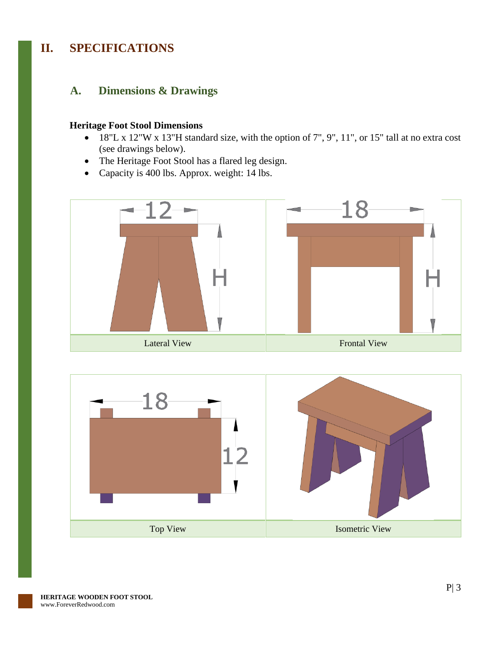# <span id="page-3-0"></span>**II. SPECIFICATIONS**

#### <span id="page-3-1"></span>**A. Dimensions & Drawings**

#### **Heritage Foot Stool Dimensions**

- 18"L x 12"W x 13"H standard size, with the option of 7", 9", 11", or 15" tall at no extra cost (see drawings below).
- The Heritage Foot Stool has a flared leg design.
- Capacity is 400 lbs. Approx. weight: 14 lbs.



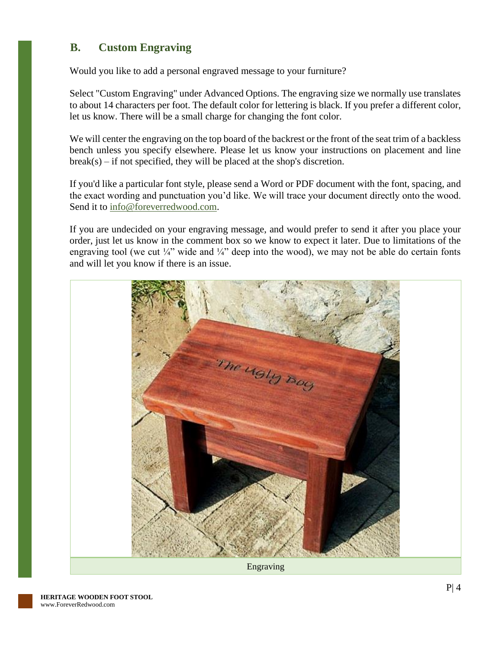### <span id="page-4-0"></span>**B. Custom Engraving**

Would you like to add a personal engraved message to your furniture?

Select "Custom Engraving" under Advanced Options. The engraving size we normally use translates to about 14 characters per foot. The default color for lettering is black. If you prefer a different color, let us know. There will be a small charge for changing the font color.

We will center the engraving on the top board of the backrest or the front of the seat trim of a backless bench unless you specify elsewhere. Please let us know your instructions on placement and line  $break(s) - if not specified, they will be placed at the shop's discretion.$ 

If you'd like a particular font style, please send a Word or PDF document with the font, spacing, and the exact wording and punctuation you'd like. We will trace your document directly onto the wood. Send it to [info@foreverredwood.com.](mailto:info@foreverredwood.com)

If you are undecided on your engraving message, and would prefer to send it after you place your order, just let us know in the comment box so we know to expect it later. Due to limitations of the engraving tool (we cut  $\frac{1}{4}$ " wide and  $\frac{1}{4}$ " deep into the wood), we may not be able do certain fonts and will let you know if there is an issue.

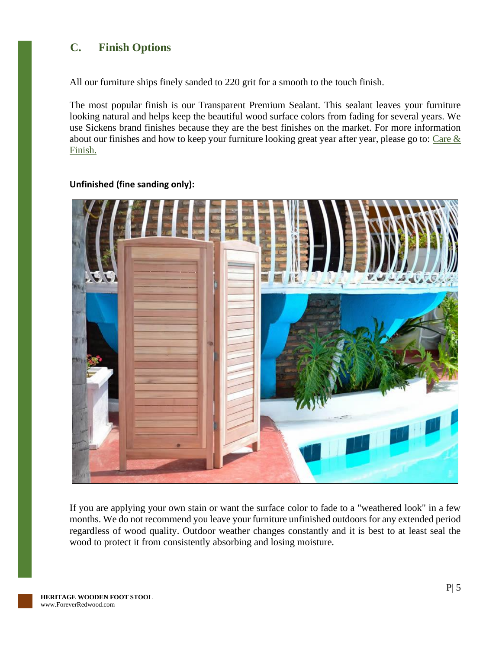## <span id="page-5-0"></span>**C. Finish Options**

All our furniture ships finely sanded to 220 grit for a smooth to the touch finish.

The most popular finish is our Transparent Premium Sealant. This sealant leaves your furniture looking natural and helps keep the beautiful wood surface colors from fading for several years. We use Sickens brand finishes because they are the best finishes on the market. For more information about our finishes and how to keep your furniture looking great year after year, please go to: Care  $\&$ [Finish.](https://www.foreverredwood.com/redwood-furniture/care-finish/)



#### **Unfinished (fine sanding only):**

If you are applying your own stain or want the surface color to fade to a "weathered look" in a few months. We do not recommend you leave your furniture unfinished outdoors for any extended period regardless of wood quality. Outdoor weather changes constantly and it is best to at least seal the wood to protect it from consistently absorbing and losing moisture.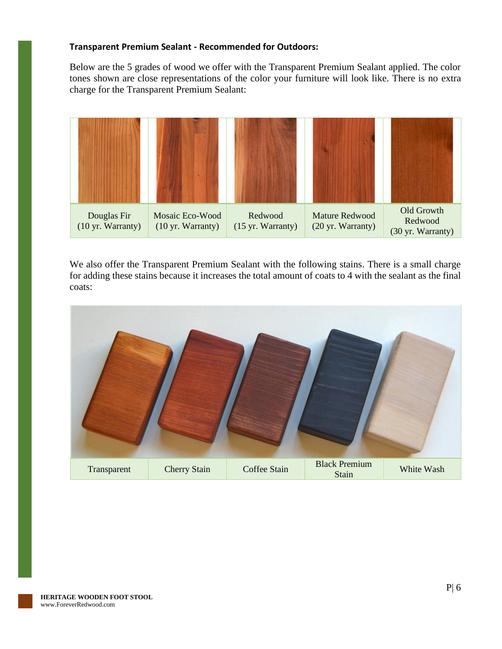#### **Transparent Premium Sealant - Recommended for Outdoors:**

Below are the 5 grades of wood we offer with the Transparent Premium Sealant applied. The color tones shown are close representations of the color your furniture will look like. There is no extra charge for the Transparent Premium Sealant:



We also offer the Transparent Premium Sealant with the following stains. There is a small charge for adding these stains because it increases the total amount of coats to 4 with the sealant as the final coats:

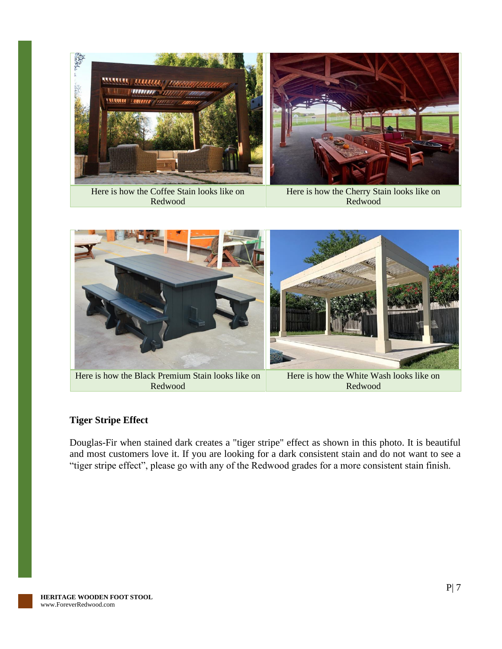

Here is how the Coffee Stain looks like on Redwood

Here is how the Cherry Stain looks like on Redwood



Here is how the Black Premium Stain looks like on Redwood

Here is how the White Wash looks like on Redwood

#### **Tiger Stripe Effect**

Douglas-Fir when stained dark creates a "tiger stripe" effect as shown in this photo. It is beautiful and most customers love it. If you are looking for a dark consistent stain and do not want to see a "tiger stripe effect", please go with any of the Redwood grades for a more consistent stain finish.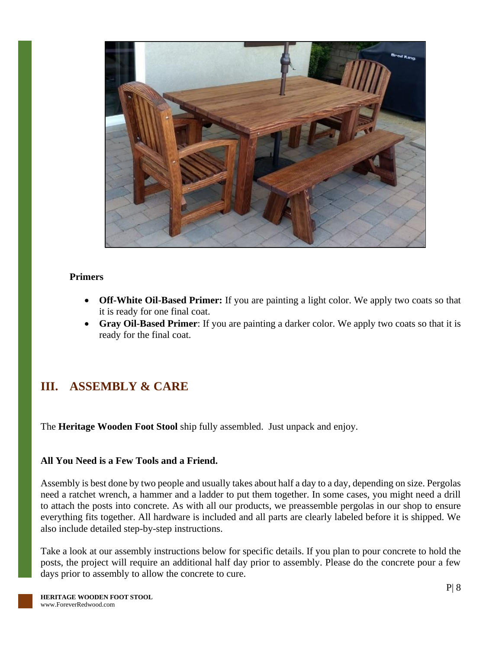

#### **Primers**

- **Off-White Oil-Based Primer:** If you are painting a light color. We apply two coats so that it is ready for one final coat.
- **Gray Oil-Based Primer**: If you are painting a darker color. We apply two coats so that it is ready for the final coat.

# <span id="page-8-0"></span>**III. ASSEMBLY & CARE**

The **Heritage Wooden Foot Stool** ship fully assembled. Just unpack and enjoy.

#### **All You Need is a Few Tools and a Friend.**

Assembly is best done by two people and usually takes about half a day to a day, depending on size. Pergolas need a ratchet wrench, a hammer and a ladder to put them together. In some cases, you might need a drill to attach the posts into concrete. As with all our products, we preassemble pergolas in our shop to ensure everything fits together. All hardware is included and all parts are clearly labeled before it is shipped. We also include detailed step-by-step instructions.

Take a look at our assembly instructions below for specific details. If you plan to pour concrete to hold the posts, the project will require an additional half day prior to assembly. Please do the concrete pour a few days prior to assembly to allow the concrete to cure.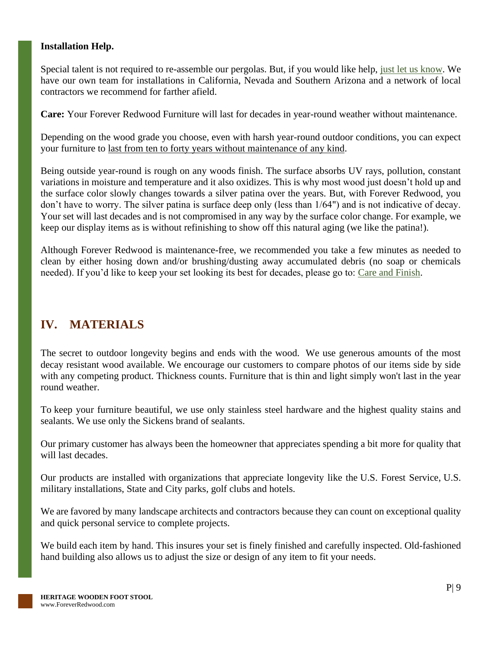#### **Installation Help.**

Special talent is not required to re-assemble our pergolas. But, if you would like help, [just let us know.](https://www.foreverredwood.com/information/contact) We have our own team for installations in California, Nevada and Southern Arizona and a network of local contractors we recommend for farther afield.

**Care:** Your Forever Redwood Furniture will last for decades in year-round weather without maintenance.

Depending on the wood grade you choose, even with harsh year-round outdoor conditions, you can expect your furniture to last from ten to forty years without maintenance of any kind.

Being outside year-round is rough on any woods finish. The surface absorbs UV rays, pollution, constant variations in moisture and temperature and it also oxidizes. This is why most wood just doesn't hold up and the surface color slowly changes towards a silver patina over the years. But, with Forever Redwood, you don't have to worry. The silver patina is surface deep only (less than 1/64") and is not indicative of decay. Your set will last decades and is not compromised in any way by the surface color change. For example, we keep our display items as is without refinishing to show off this natural aging (we like the patina!).

Although Forever Redwood is maintenance-free, we recommended you take a few minutes as needed to clean by either hosing down and/or brushing/dusting away accumulated debris (no soap or chemicals needed). If you'd like to keep your set looking its best for decades, please go to: [Care and Finish.](https://www.foreverredwood.com/redwood-furniture/care-finish)

# <span id="page-9-0"></span>**IV. MATERIALS**

The secret to outdoor longevity begins and ends with the wood. We use generous amounts of the most decay resistant wood available. We encourage our customers to compare photos of our items side by side with any competing product. Thickness counts. Furniture that is thin and light simply won't last in the year round weather.

To keep your furniture beautiful, we use only stainless steel hardware and the highest quality stains and sealants. We use only the Sickens brand of sealants.

Our primary customer has always been the homeowner that appreciates spending a bit more for quality that will last decades.

Our products are installed with organizations that appreciate longevity like the U.S. Forest Service, U.S. military installations, State and City parks, golf clubs and hotels.

We are favored by many landscape architects and contractors because they can count on exceptional quality and quick personal service to complete projects.

We build each item by hand. This insures your set is finely finished and carefully inspected. Old-fashioned hand building also allows us to adjust the size or design of any item to fit your needs.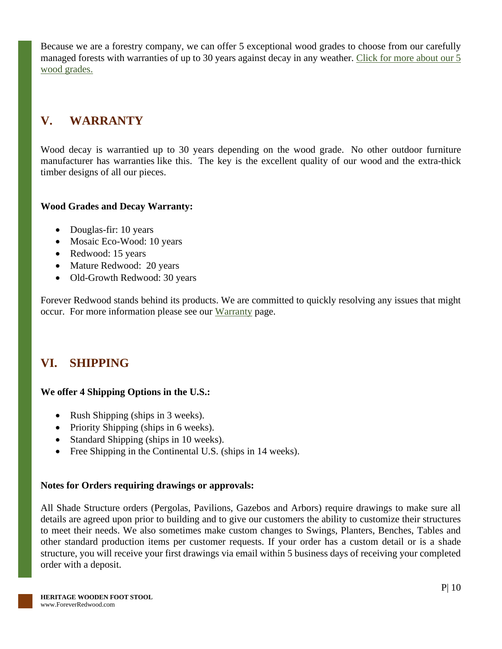Because we are a forestry company, we can offer 5 exceptional wood grades to choose from our carefully managed forests with warranties of up to 30 years against decay in any weather. [Click for more about our 5](https://www.foreverredwood.com/redwood-furniture/wood-grade/)  [wood grades.](https://www.foreverredwood.com/redwood-furniture/wood-grade/)

# <span id="page-10-0"></span>**V. WARRANTY**

Wood decay is warrantied up to 30 years depending on the wood grade. No other outdoor furniture manufacturer has warranties like this. The key is the excellent quality of our wood and the extra-thick timber designs of all our pieces.

#### **Wood Grades and Decay Warranty:**

- Douglas-fir: 10 years
- Mosaic Eco-Wood: 10 years
- Redwood: 15 years
- Mature Redwood: 20 years
- Old-Growth Redwood: 30 years

Forever Redwood stands behind its products. We are committed to quickly resolving any issues that might occur. For more information please see our [Warranty](https://www.foreverredwood.com/redwood-furniture/warranty) page.

# <span id="page-10-1"></span>**VI. SHIPPING**

#### **We offer 4 Shipping Options in the U.S.:**

- Rush Shipping (ships in 3 weeks).
- Priority Shipping (ships in 6 weeks).
- Standard Shipping (ships in 10 weeks).
- Free Shipping in the Continental U.S. (ships in 14 weeks).

#### **Notes for Orders requiring drawings or approvals:**

All Shade Structure orders (Pergolas, Pavilions, Gazebos and Arbors) require drawings to make sure all details are agreed upon prior to building and to give our customers the ability to customize their structures to meet their needs. We also sometimes make custom changes to Swings, Planters, Benches, Tables and other standard production items per customer requests. If your order has a custom detail or is a shade structure, you will receive your first drawings via email within 5 business days of receiving your completed order with a deposit.